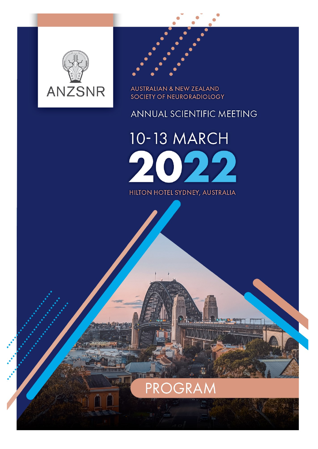



**AUSTRALIAN & NEW ZEALAND** SOCIETY OF NEURORADIOLOGY

## ANNUAL SCIENTIFIC MEETING

10-13 MARCH  $\boldsymbol{\mathcal{Y}}$ HILTON HOTEL SYDNEY, AUSTRALIA

PROGRAM

**HISH**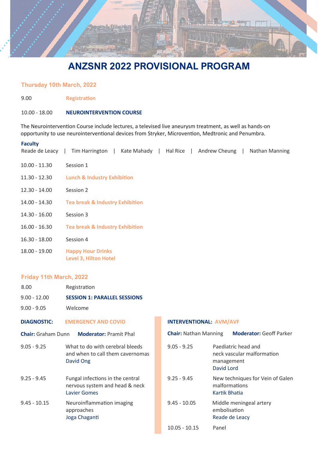

### Thursday 10th March, 2022

9.00 Registration

#### 10.00 - 18.00 NEUROINTERVENTION COURSE

The Neurointervention Course include lectures, a televised live aneurysm treatment, as well as hands-on opportunity to use neurointerventional devices from Stryker, Microvention, Medtronic and Penumbra.

#### Faculty

| Reade de Leacy  | Kate Mahady   Hal Rice   Andrew Cheung  <br>Tim Harrington  <br>Nathan Manning |
|-----------------|--------------------------------------------------------------------------------|
| $10.00 - 11.30$ | Session 1                                                                      |
| $11.30 - 12.30$ | <b>Lunch &amp; Industry Exhibition</b>                                         |
| $12.30 - 14.00$ | Session 2                                                                      |
| 14.00 - 14.30   | <b>Tea break &amp; Industry Exhibition</b>                                     |
| 14.30 - 16.00   | Session 3                                                                      |
| $16.00 - 16.30$ | <b>Tea break &amp; Industry Exhibition</b>                                     |
| $16.30 - 18.00$ | Session 4                                                                      |
| $18.00 - 19.00$ | <b>Happy Hour Drinks</b><br><b>Level 3, Hilton Hotel</b>                       |

#### Friday 11th March, 2022

| Friday 11th March, 2022 |                                                                                           |  |  |
|-------------------------|-------------------------------------------------------------------------------------------|--|--|
| 8.00                    | Registration                                                                              |  |  |
| $9.00 - 12.00$          | <b>SESSION 1: PARALLEL SESSIONS</b>                                                       |  |  |
| $9.00 - 9.05$           | Welcome                                                                                   |  |  |
| DIAGNOSTIC:             | <b>EMERGENCY AND COVID</b>                                                                |  |  |
|                         | <b>Chair:</b> Graham Dunn <b>Moderator:</b> Pramit Phal                                   |  |  |
| $9.05 - 9.25$           | What to do with cerebral bleeds<br>and when to call them cavernomas<br>David Ong          |  |  |
| $9.25 - 9.45$           | Fungal infections in the central<br>nervous system and head & neck<br><b>Lavier Gomes</b> |  |  |

9.45 - 10.15 Neuroinflammation imaging approaches Joga Chaganti

#### INTERVENTIONAL: AVM/AVF

| <b>Chair:</b> Nathan Manning | <b>Moderator: Geoff Parker</b>                                                |
|------------------------------|-------------------------------------------------------------------------------|
| $9.05 - 9.25$                | Paediatric head and<br>neck vascular malformation<br>management<br>David Lord |
| $9.25 - 9.45$                | New techniques for Vein of Galen<br>malformations<br>Kartik Bhatia            |
| $9.45 - 10.05$               | Middle meningeal artery<br>embolisation<br>Reade de Leacy                     |
| 10.05 - 10.15                | Panel                                                                         |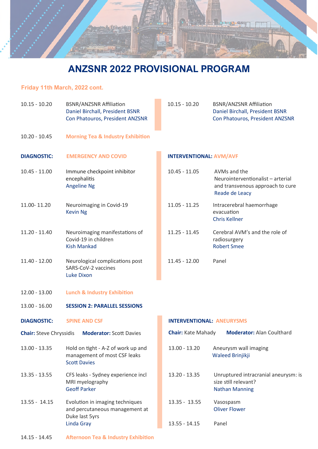

### Friday 11th March, 2022 cont.

| $10.15 - 10.20$                | <b>BSNR/ANZSNR Affiliation</b><br>Daniel Birchall, President BSNR<br>Con Phatouros, President ANZSNR | $10.15 - 10.20$<br><b>BSNR/ANZSNR Affiliation</b><br>Daniel Birchall, President BSNR<br>Con Phatouros, President ANZSNR |                                                                                                         |
|--------------------------------|------------------------------------------------------------------------------------------------------|-------------------------------------------------------------------------------------------------------------------------|---------------------------------------------------------------------------------------------------------|
| $10.20 - 10.45$                | <b>Morning Tea &amp; Industry Exhibition</b>                                                         |                                                                                                                         |                                                                                                         |
| <b>DIAGNOSTIC:</b>             | <b>EMERGENCY AND COVID</b>                                                                           | <b>INTERVENTIONAL: AVM/AVF</b>                                                                                          |                                                                                                         |
| $10.45 - 11.00$                | Immune checkpoint inhibitor<br>encephalitis<br><b>Angeline Ng</b>                                    | $10.45 - 11.05$                                                                                                         | AVMs and the<br>Neurointerventionalist - arterial<br>and transvenous approach to cure<br>Reade de Leacy |
| 11.00-11.20                    | Neuroimaging in Covid-19<br><b>Kevin Ng</b>                                                          | $11.05 - 11.25$                                                                                                         | Intracerebral haemorrhage<br>evacuation<br><b>Chris Kellner</b>                                         |
| $11.20 - 11.40$                | Neuroimaging manifestations of<br>Covid-19 in children<br><b>Kish Mankad</b>                         | $11.25 - 11.45$                                                                                                         | Cerebral AVM's and the role of<br>radiosurgery<br><b>Robert Smee</b>                                    |
| 11.40 - 12.00                  | Neurological complications post<br>SARS-CoV-2 vaccines<br><b>Luke Dixon</b>                          | $11.45 - 12.00$                                                                                                         | Panel                                                                                                   |
| $12.00 - 13.00$                | <b>Lunch &amp; Industry Exhibition</b>                                                               |                                                                                                                         |                                                                                                         |
| $13.00 - 16.00$                | <b>SESSION 2: PARALLEL SESSIONS</b>                                                                  |                                                                                                                         |                                                                                                         |
| <b>DIAGNOSTIC:</b>             | <b>SPINE AND CSF</b>                                                                                 | <b>INTERVENTIONAL: ANEURYSMS</b>                                                                                        |                                                                                                         |
| <b>Chair: Steve Chryssidis</b> | <b>Moderator: Scott Davies</b>                                                                       | <b>Chair: Kate Mahady</b>                                                                                               | <b>Moderator: Alan Coulthard</b>                                                                        |
| 13.00 - 13.35                  | Hold on tight - A-Z of work up and<br>management of most CSF leaks<br><b>Scott Davies</b>            | $13.00 - 13.20$                                                                                                         | Aneurysm wall imaging<br>Waleed Brinjikji                                                               |
| $13.35 - 13.55$                | CFS leaks - Sydney experience incl<br>MRI myelography<br><b>Geoff Parker</b>                         | 13.20 - 13.35                                                                                                           | Unruptured intracranial aneurysm: is<br>size still relevant?<br><b>Nathan Manning</b>                   |
| $13.55 - 14.15$                | Evolution in imaging techniques<br>and percutaneous management at<br>Duke last 5yrs                  | $13.35 - 13.55$                                                                                                         | Vasospasm<br><b>Oliver Flower</b>                                                                       |
|                                | <b>Linda Gray</b>                                                                                    | $13.55 - 14.15$                                                                                                         | Panel                                                                                                   |
| $14.15 - 14.45$                | <b>Afternoon Tea &amp; Industry Exhibition</b>                                                       |                                                                                                                         |                                                                                                         |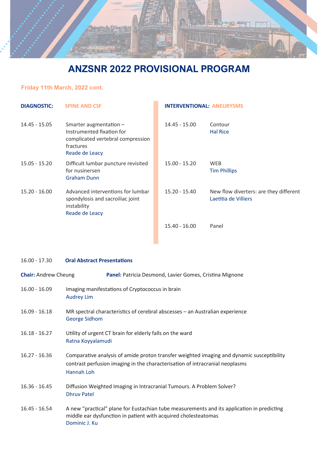

### Friday 11th March, 2022 cont.

| <b>DIAGNOSTIC:</b> | <b>SPINE AND CSF</b>                                                                                                    | <b>INTERVENTIONAL: ANEURYSMS</b> |                                                                |  |
|--------------------|-------------------------------------------------------------------------------------------------------------------------|----------------------------------|----------------------------------------------------------------|--|
| 14.45 - 15.05      | Smarter augmentation -<br>Instrumented fixation for<br>complicated vertebral compression<br>fractures<br>Reade de Leacy | $14.45 - 15.00$                  | Contour<br><b>Hal Rice</b>                                     |  |
| $15.05 - 15.20$    | Difficult lumbar puncture revisited<br>for nusinersen<br><b>Graham Dunn</b>                                             | $15.00 - 15.20$                  | <b>WEB</b><br><b>Tim Phillips</b>                              |  |
| $15.20 - 16.00$    | Advanced interventions for lumbar<br>spondylosis and sacroiliac joint<br>instability<br>Reade de Leacy                  | 15.20 - 15.40                    | New flow diverters: are they different<br>Laetitia de Villiers |  |
|                    |                                                                                                                         | $15.40 - 16.00$                  | Panel                                                          |  |

### 16.00 - 17.30 Oral Abstract Presentations

| <b>Chair: Andrew Cheung</b> | Panel: Patricia Desmond, Lavier Gomes, Cristina Mignone                                                                                                                                 |
|-----------------------------|-----------------------------------------------------------------------------------------------------------------------------------------------------------------------------------------|
| $16.00 - 16.09$             | Imaging manifestations of Cryptococcus in brain<br><b>Audrey Lim</b>                                                                                                                    |
| $16.09 - 16.18$             | MR spectral characteristics of cerebral abscesses - an Australian experience<br><b>George Sidhom</b>                                                                                    |
| $16.18 - 16.27$             | Utility of urgent CT brain for elderly falls on the ward<br>Ratna Koyyalamudi                                                                                                           |
| $16.27 - 16.36$             | Comparative analysis of amide proton transfer weighted imaging and dynamic susceptibility<br>contrast perfusion imaging in the characterisation of intracranial neoplasms<br>Hannah Loh |
| $16.36 - 16.45$             | Diffusion Weighted Imaging in Intracranial Tumours. A Problem Solver?<br><b>Dhruv Patel</b>                                                                                             |
| $16.45 - 16.54$             | A new "practical" plane for Eustachian tube measurements and its application in predicting<br>middle ear dysfunction in patient with acquired cholesteatomas<br>Dominic J. Ku           |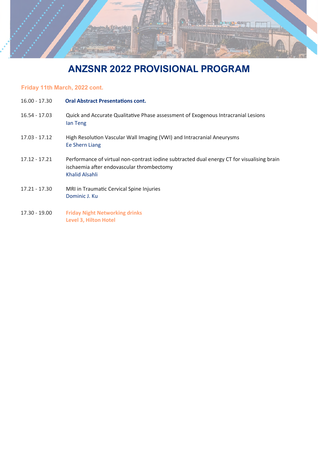

### Friday 11th March, 2022 cont.

| $16.00 - 17.30$ | <b>Oral Abstract Presentations cont.</b>                                                                                                                  |
|-----------------|-----------------------------------------------------------------------------------------------------------------------------------------------------------|
| $16.54 - 17.03$ | Quick and Accurate Qualitative Phase assessment of Exogenous Intracranial Lesions<br>lan Teng                                                             |
| $17.03 - 17.12$ | High Resolution Vascular Wall Imaging (VWI) and Intracranial Aneurysms<br><b>Ee Shern Liang</b>                                                           |
| $17.12 - 17.21$ | Performance of virtual non-contrast iodine subtracted dual energy CT for visualising brain<br>ischaemia after endovascular thrombectomy<br>Khalid Alsahli |
| 17.21 - 17.30   | MRI in Traumatic Cervical Spine Injuries<br>Dominic J. Ku                                                                                                 |
| 17.30 - 19.00   | <b>Friday Night Networking drinks</b><br><b>Level 3, Hilton Hotel</b>                                                                                     |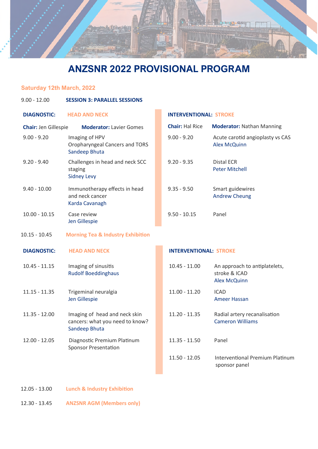

### Saturday 12th March, 2022

| $9.00 - 12.00$              | <b>SESSION 3: PARALLEL SESSIONS</b>                                               |                               |                                                                       |
|-----------------------------|-----------------------------------------------------------------------------------|-------------------------------|-----------------------------------------------------------------------|
| <b>DIAGNOSTIC:</b>          | <b>HEAD AND NECK</b>                                                              | <b>INTERVENTIONAL: STROKE</b> |                                                                       |
| <b>Chair: Jen Gillespie</b> | <b>Moderator: Lavier Gomes</b>                                                    | <b>Chair: Hal Rice</b>        | <b>Moderator: Nathan Manning</b>                                      |
| $9.00 - 9.20$               | Imaging of HPV<br>Oropharyngeal Cancers and TORS<br>Sandeep Bhuta                 | $9.00 - 9.20$                 | Acute carotid angioplasty vs CAS<br><b>Alex McQuinn</b>               |
| $9.20 - 9.40$               | Challenges in head and neck SCC<br>staging<br><b>Sidney Levy</b>                  | $9.20 - 9.35$                 | <b>Distal ECR</b><br><b>Peter Mitchell</b>                            |
| $9.40 - 10.00$              | Immunotherapy effects in head<br>and neck cancer<br>Karda Cavanagh                | $9.35 - 9.50$                 | Smart guidewires<br><b>Andrew Cheung</b>                              |
| $10.00 - 10.15$             | Case review<br>Jen Gillespie                                                      | $9.50 - 10.15$                | Panel                                                                 |
| $10.15 - 10.45$             | <b>Morning Tea &amp; Industry Exhibition</b>                                      |                               |                                                                       |
| <b>DIAGNOSTIC:</b>          | <b>HEAD AND NECK</b>                                                              | <b>INTERVENTIONAL: STROKE</b> |                                                                       |
| $10.45 - 11.15$             | Imaging of sinusitis<br><b>Rudolf Boeddinghaus</b>                                | $10.45 - 11.00$               | An approach to antiplatelets,<br>stroke & ICAD<br><b>Alex McQuinn</b> |
| $11.15 - 11.35$             | Trigeminal neuralgia<br>Jen Gillespie                                             | $11.00 - 11.20$               | <b>ICAD</b><br><b>Ameer Hassan</b>                                    |
| $11.35 - 12.00$             | Imaging of head and neck skin<br>cancers: what you need to know?<br>Sandeep Bhuta | $11.20 - 11.35$               | Radial artery recanalisation<br><b>Cameron Williams</b>               |
| $12.00 - 12.05$             | Diagnostic Premium Platinum<br><b>Sponsor Presentation</b>                        | $11.35 - 11.50$               | Panel                                                                 |
|                             |                                                                                   | $11.50 - 12.05$               | <b>Interventional Premium Platinum</b><br>sponsor panel               |
|                             |                                                                                   |                               |                                                                       |

12.05 - 13.00 Lunch & Industry Exhibition

12.30 - 13.45 ANZSNR AGM (Members only)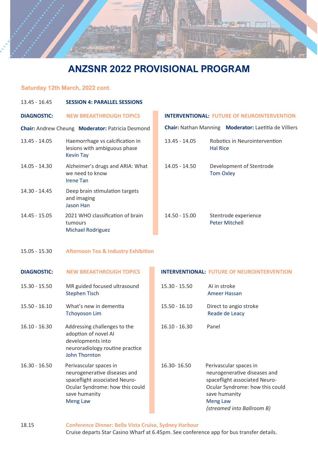

### Saturday 12th March, 2022 cont.

| 13.45 - 16.45      | <b>SESSION 4: PARALLEL SESSIONS</b>                                                                                                                            |                 |                  |                                                                                                                                                                           |
|--------------------|----------------------------------------------------------------------------------------------------------------------------------------------------------------|-----------------|------------------|---------------------------------------------------------------------------------------------------------------------------------------------------------------------------|
| <b>DIAGNOSTIC:</b> | <b>NEW BREAKTHROUGH TOPICS</b>                                                                                                                                 |                 |                  | <b>INTERVENTIONAL: FUTURE OF NEUROINTERVENTION</b>                                                                                                                        |
|                    | <b>Chair:</b> Andrew Cheung Moderator: Patricia Desmond                                                                                                        |                 |                  | <b>Chair: Nathan Manning Moderator: Laetitia de Villiers</b>                                                                                                              |
| $13.45 - 14.05$    | Haemorrhage vs calcification in<br>lesions with ambiguous phase<br><b>Kevin Tay</b>                                                                            | 13.45 - 14.05   | <b>Hal Rice</b>  | Robotics in Neurointervention                                                                                                                                             |
| 14.05 - 14.30      | Alzheimer's drugs and ARIA: What<br>we need to know<br><b>Irene Tan</b>                                                                                        | 14.05 - 14.50   | <b>Tom Oxley</b> | Development of Stentrode                                                                                                                                                  |
| 14.30 - 14.45      | Deep brain stimulation targets<br>and imaging<br><b>Jason Han</b>                                                                                              |                 |                  |                                                                                                                                                                           |
| $14.45 - 15.05$    | 2021 WHO classification of brain<br>tumours<br><b>Michael Rodriguez</b>                                                                                        | $14.50 - 15.00$ |                  | Stentrode experience<br><b>Peter Mitchell</b>                                                                                                                             |
| $15.05 - 15.30$    | <b>Afternoon Tea &amp; Industry Exhibition</b>                                                                                                                 |                 |                  |                                                                                                                                                                           |
| <b>DIAGNOSTIC:</b> | <b>NEW BREAKTHROUGH TOPICS</b>                                                                                                                                 |                 |                  | <b>INTERVENTIONAL: FUTURE OF NEUROINTERVENTION</b>                                                                                                                        |
| $15.30 - 15.50$    | MR guided focused ultrasound<br><b>Stephen Tisch</b>                                                                                                           | $15.30 - 15.50$ | AI in stroke     | <b>Ameer Hassan</b>                                                                                                                                                       |
| $15.50 - 16.10$    | What's new in dementia<br><b>Tchoyoson Lim</b>                                                                                                                 | $15.50 - 16.10$ |                  | Direct to angio stroke<br>Reade de Leacy                                                                                                                                  |
| $16.10 - 16.30$    | Addressing challenges to the<br>adoption of novel AI<br>developments into<br>neuroradiology routine practice<br><b>John Thornton</b>                           | $16.10 - 16.30$ | Panel            |                                                                                                                                                                           |
| $16.30 - 16.50$    | Perivascular spaces in<br>neurogenerative diseases and<br>spaceflight associated Neuro-<br>Ocular Syndrome: how this could<br>save humanity<br><b>Meng Law</b> | 16.30-16.50     | <b>Meng Law</b>  | Perivascular spaces in<br>neurogenerative diseases and<br>spaceflight associated Neuro-<br>Ocular Syndrome: how this could<br>save humanity<br>(streamed into Ballroom B) |

18.15 Conference Dinner: Bella Vista Cruise, Sydney Harbour Cruise departs Star Casino Wharf at 6.45pm. See conference app for bus transfer details.